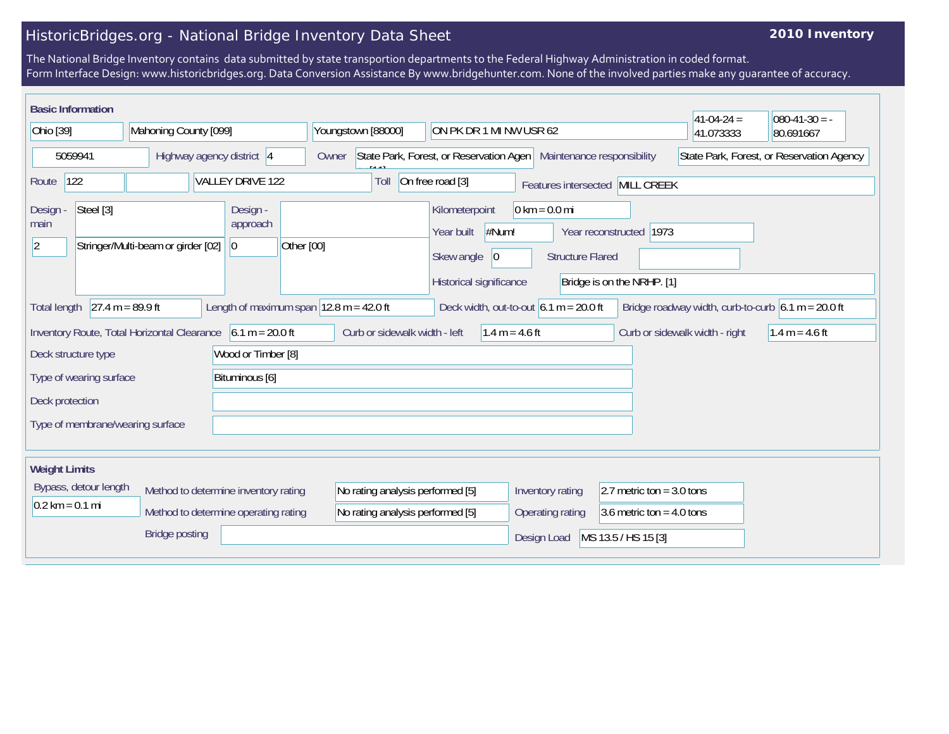## HistoricBridges.org - National Bridge Inventory Data Sheet

## **2010 Inventory**

The National Bridge Inventory contains data submitted by state transportion departments to the Federal Highway Administration in coded format. Form Interface Design: www.historicbridges.org. Data Conversion Assistance By www.bridgehunter.com. None of the involved parties make any guarantee of accuracy.

| <b>Basic Information</b>                                                                                                                                                                                     |                       |                                    |                                          |                                                                                           |                                                                                                   |                                                            |                                                          | $41-04-24=$ | $080-41-30 = -$                           |
|--------------------------------------------------------------------------------------------------------------------------------------------------------------------------------------------------------------|-----------------------|------------------------------------|------------------------------------------|-------------------------------------------------------------------------------------------|---------------------------------------------------------------------------------------------------|------------------------------------------------------------|----------------------------------------------------------|-------------|-------------------------------------------|
| Ohio [39]                                                                                                                                                                                                    |                       | Mahoning County [099]              |                                          | Youngstown [88000]<br>ON PK DR 1 MI NW USR 62                                             |                                                                                                   |                                                            |                                                          | 41.073333   | 80.691667                                 |
| 5059941                                                                                                                                                                                                      |                       | Highway agency district 4          |                                          | State Park, Forest, or Reservation Agen   Maintenance responsibility<br>Owner<br>1111 میل |                                                                                                   |                                                            |                                                          |             | State Park, Forest, or Reservation Agency |
| Route                                                                                                                                                                                                        | 122                   |                                    | VALLEY DRIVE 122                         | Toll                                                                                      | On free road [3]                                                                                  |                                                            | Features intersected MILL CREEK                          |             |                                           |
| Design -<br>main<br>2                                                                                                                                                                                        | Steel [3]             | Stringer/Multi-beam or girder [02] | Design -<br>approach<br>Other [00]<br> 0 |                                                                                           | Kilometerpoint<br>$\parallel$ #Num!<br>Year built<br>Skew angle<br> 0 <br>Historical significance | $0 \text{ km} = 0.0 \text{ mi}$<br><b>Structure Flared</b> | 1973<br>Year reconstructed<br>Bridge is on the NRHP. [1] |             |                                           |
| $27.4 m = 89.9 ft$<br>Length of maximum span $ 12.8 \text{ m} = 42.0 \text{ ft} $<br>Deck width, out-to-out $6.1 m = 20.0 ft$<br>Bridge roadway width, curb-to-curb $6.1 m = 20.0 ft$<br><b>Total length</b> |                       |                                    |                                          |                                                                                           |                                                                                                   |                                                            |                                                          |             |                                           |
| Inventory Route, Total Horizontal Clearance $\vert$ 6.1 m = 20.0 ft<br>Curb or sidewalk width - left<br>Curb or sidewalk width - right<br>1.4 m = 4.6 ft<br>1.4 m = 4.6 ft                                   |                       |                                    |                                          |                                                                                           |                                                                                                   |                                                            |                                                          |             |                                           |
| Wood or Timber [8]<br>Deck structure type                                                                                                                                                                    |                       |                                    |                                          |                                                                                           |                                                                                                   |                                                            |                                                          |             |                                           |
| Bituminous [6]<br>Type of wearing surface                                                                                                                                                                    |                       |                                    |                                          |                                                                                           |                                                                                                   |                                                            |                                                          |             |                                           |
| Deck protection                                                                                                                                                                                              |                       |                                    |                                          |                                                                                           |                                                                                                   |                                                            |                                                          |             |                                           |
|                                                                                                                                                                                                              |                       | Type of membrane/wearing surface   |                                          |                                                                                           |                                                                                                   |                                                            |                                                          |             |                                           |
| <b>Weight Limits</b>                                                                                                                                                                                         |                       |                                    |                                          |                                                                                           |                                                                                                   |                                                            |                                                          |             |                                           |
|                                                                                                                                                                                                              | Bypass, detour length |                                    | Method to determine inventory rating     | No rating analysis performed [5]                                                          |                                                                                                   | Inventory rating                                           | 2.7 metric ton = $3.0$ tons                              |             |                                           |
| $0.2 \text{ km} = 0.1 \text{ mi}$                                                                                                                                                                            |                       |                                    | Method to determine operating rating     | No rating analysis performed [5]                                                          |                                                                                                   | Operating rating                                           | 3.6 metric ton = $4.0$ tons                              |             |                                           |
|                                                                                                                                                                                                              |                       | <b>Bridge posting</b>              |                                          |                                                                                           |                                                                                                   | Design Load                                                | MS 13.5 / HS 15 [3]                                      |             |                                           |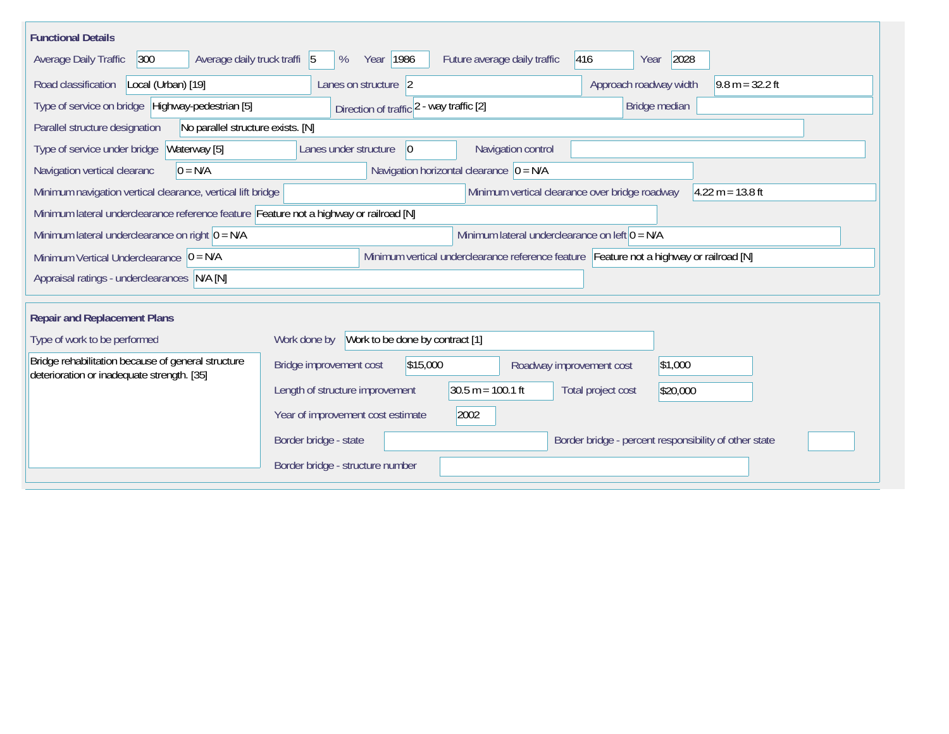| <b>Functional Details</b>                                                                        |                                                                                          |  |  |  |  |  |  |
|--------------------------------------------------------------------------------------------------|------------------------------------------------------------------------------------------|--|--|--|--|--|--|
| 300<br>Average daily truck traffi 5<br>Average Daily Traffic                                     | 2028<br>Year   1986<br>Future average daily traffic<br>416<br>%<br>Year                  |  |  |  |  |  |  |
| Road classification<br>Local (Urban) [19]                                                        | Lanes on structure 2<br>Approach roadway width<br>$9.8 m = 32.2 ft$                      |  |  |  |  |  |  |
| Type of service on bridge Highway-pedestrian [5]                                                 | Bridge median<br>Direction of traffic 2 - way traffic [2]                                |  |  |  |  |  |  |
| Parallel structure designation<br>No parallel structure exists. [N]                              |                                                                                          |  |  |  |  |  |  |
| Waterway [5]<br>Type of service under bridge                                                     | Navigation control<br>Lanes under structure<br>$\overline{0}$                            |  |  |  |  |  |  |
| Navigation vertical clearanc<br>$0 = N/A$                                                        | Navigation horizontal clearance $ 0 = N/A$                                               |  |  |  |  |  |  |
| Minimum navigation vertical clearance, vertical lift bridge                                      | Minimum vertical clearance over bridge roadway<br>$4.22 m = 13.8 ft$                     |  |  |  |  |  |  |
| Minimum lateral underclearance reference feature Feature not a highway or railroad [N]           |                                                                                          |  |  |  |  |  |  |
| Minimum lateral underclearance on right $0 = N/A$                                                | Minimum lateral underclearance on left $0 = N/A$                                         |  |  |  |  |  |  |
| Minimum Vertical Underclearance $ 0 = N/A$                                                       | Minimum vertical underclearance reference feature Feature not a highway or railroad [N]  |  |  |  |  |  |  |
| Appraisal ratings - underclearances N/A [N]                                                      |                                                                                          |  |  |  |  |  |  |
| <b>Repair and Replacement Plans</b>                                                              |                                                                                          |  |  |  |  |  |  |
|                                                                                                  |                                                                                          |  |  |  |  |  |  |
| Type of work to be performed                                                                     | Work to be done by contract [1]<br>Work done by                                          |  |  |  |  |  |  |
| Bridge rehabilitation because of general structure<br>deterioration or inadequate strength. [35] | \$15,000<br>Bridge improvement cost<br>\$1,000<br>Roadway improvement cost               |  |  |  |  |  |  |
|                                                                                                  | $30.5 m = 100.1 ft$<br>Length of structure improvement<br>Total project cost<br>\$20,000 |  |  |  |  |  |  |
|                                                                                                  | 2002<br>Year of improvement cost estimate                                                |  |  |  |  |  |  |
|                                                                                                  | Border bridge - state<br>Border bridge - percent responsibility of other state           |  |  |  |  |  |  |
|                                                                                                  | Border bridge - structure number                                                         |  |  |  |  |  |  |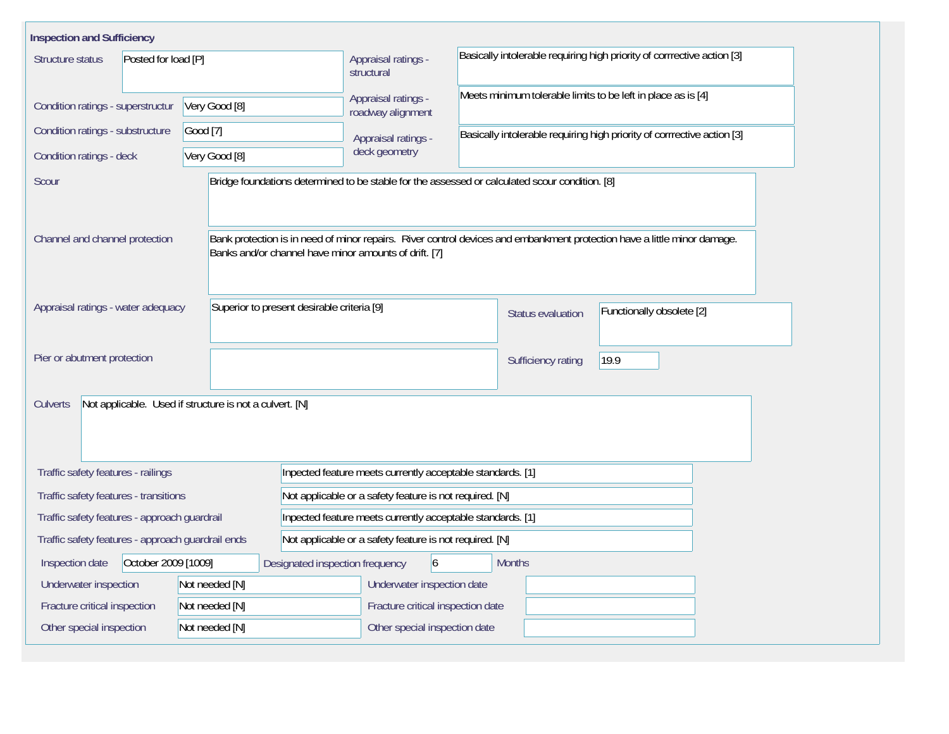| <b>Inspection and Sufficiency</b>                 |                                                         |                                                                                                |                                                                                                                          |  |  |  |  |  |
|---------------------------------------------------|---------------------------------------------------------|------------------------------------------------------------------------------------------------|--------------------------------------------------------------------------------------------------------------------------|--|--|--|--|--|
| Posted for load [P]<br>Structure status           |                                                         | Appraisal ratings -<br>structural                                                              | Basically intolerable requiring high priority of corrrective action [3]                                                  |  |  |  |  |  |
| Condition ratings - superstructur                 | Very Good [8]                                           |                                                                                                | Meets minimum tolerable limits to be left in place as is [4]                                                             |  |  |  |  |  |
| Condition ratings - substructure                  | Good [7]                                                | roadway alignment<br>Appraisal ratings -                                                       | Basically intolerable requiring high priority of corrrective action [3]                                                  |  |  |  |  |  |
| Very Good [8]<br>Condition ratings - deck         |                                                         | deck geometry                                                                                  |                                                                                                                          |  |  |  |  |  |
| Scour                                             |                                                         | Bridge foundations determined to be stable for the assessed or calculated scour condition. [8] |                                                                                                                          |  |  |  |  |  |
| Channel and channel protection                    |                                                         | Banks and/or channel have minor amounts of drift. [7]                                          | Bank protection is in need of minor repairs. River control devices and embankment protection have a little minor damage. |  |  |  |  |  |
| Appraisal ratings - water adequacy                |                                                         | Superior to present desirable criteria [9]                                                     | Functionally obsolete [2]<br><b>Status evaluation</b>                                                                    |  |  |  |  |  |
| Pier or abutment protection                       |                                                         |                                                                                                | 19.9<br>Sufficiency rating                                                                                               |  |  |  |  |  |
| Culverts                                          | Not applicable. Used if structure is not a culvert. [N] |                                                                                                |                                                                                                                          |  |  |  |  |  |
| Traffic safety features - railings                |                                                         | Inpected feature meets currently acceptable standards. [1]                                     |                                                                                                                          |  |  |  |  |  |
| Traffic safety features - transitions             |                                                         | Not applicable or a safety feature is not required. [N]                                        |                                                                                                                          |  |  |  |  |  |
| Traffic safety features - approach guardrail      |                                                         | Inpected feature meets currently acceptable standards. [1]                                     |                                                                                                                          |  |  |  |  |  |
| Traffic safety features - approach guardrail ends |                                                         |                                                                                                | Not applicable or a safety feature is not required. [N]                                                                  |  |  |  |  |  |
| October 2009 [1009]<br>Inspection date            |                                                         | $\overline{6}$<br>Designated inspection frequency                                              | <b>Months</b>                                                                                                            |  |  |  |  |  |
| Underwater inspection                             | Not needed [N]                                          | Underwater inspection date                                                                     |                                                                                                                          |  |  |  |  |  |
| Fracture critical inspection                      | Not needed [N]                                          |                                                                                                | Fracture critical inspection date                                                                                        |  |  |  |  |  |
| Other special inspection                          | Not needed [N]                                          | Other special inspection date                                                                  |                                                                                                                          |  |  |  |  |  |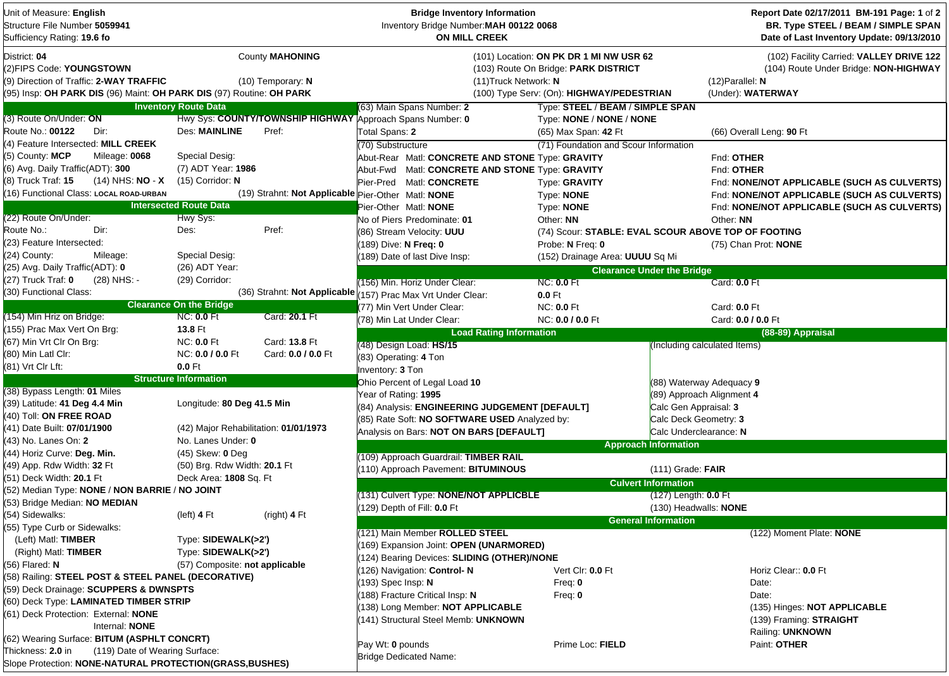| Unit of Measure: English<br>Structure File Number 5059941<br>Sufficiency Rating: 19.6 fo                                                                    |                                       |                                               | <b>Bridge Inventory Information</b><br>Inventory Bridge Number: MAH 00122 0068<br>ON MILL CREEK |                                                                                                                              |                                   | Report Date 02/17/2011 BM-191 Page: 1 of 2<br>BR. Type STEEL / BEAM / SIMPLE SPAN<br>Date of Last Inventory Update: 09/13/2010 |
|-------------------------------------------------------------------------------------------------------------------------------------------------------------|---------------------------------------|-----------------------------------------------|-------------------------------------------------------------------------------------------------|------------------------------------------------------------------------------------------------------------------------------|-----------------------------------|--------------------------------------------------------------------------------------------------------------------------------|
| District: 04<br>(2)FIPS Code: YOUNGSTOWN<br>(9) Direction of Traffic: 2-WAY TRAFFIC<br>(95) Insp: OH PARK DIS (96) Maint: OH PARK DIS (97) Routine: OH PARK |                                       | <b>County MAHONING</b><br>$(10)$ Temporary: N | (11) Truck Network: N                                                                           | (101) Location: ON PK DR 1 MI NW USR 62<br>(103) Route On Bridge: PARK DISTRICT<br>(100) Type Serv: (On): HIGHWAY/PEDESTRIAN |                                   | (102) Facility Carried: VALLEY DRIVE 122<br>(104) Route Under Bridge: NON-HIGHWAY<br>$(12)$ Parallel: N<br>(Under): WATERWAY   |
|                                                                                                                                                             | <b>Inventory Route Data</b>           |                                               | (63) Main Spans Number: 2                                                                       | Type: STEEL / BEAM / SIMPLE SPAN                                                                                             |                                   |                                                                                                                                |
| (3) Route On/Under: ON                                                                                                                                      |                                       |                                               | Hwy Sys: COUNTY/TOWNSHIP HIGHWAY Approach Spans Number: 0                                       | Type: NONE / NONE / NONE                                                                                                     |                                   |                                                                                                                                |
| Route No.: 00122<br>Dir:                                                                                                                                    | <b>Des: MAINLINE</b>                  | Pref:                                         | Total Spans: 2                                                                                  | (65) Max Span: 42 Ft                                                                                                         |                                   | (66) Overall Leng: 90 Ft                                                                                                       |
| (4) Feature Intersected: MILL CREEK                                                                                                                         |                                       |                                               | (70) Substructure                                                                               | (71) Foundation and Scour Information                                                                                        |                                   |                                                                                                                                |
| (5) County: MCP<br>Mileage: 0068                                                                                                                            | Special Desig:                        |                                               | Abut-Rear Matl: CONCRETE AND STONE Type: GRAVITY                                                |                                                                                                                              |                                   | Fnd: OTHER                                                                                                                     |
| (6) Avg. Daily Traffic(ADT): 300                                                                                                                            | (7) ADT Year: 1986                    |                                               | Abut-Fwd Matl: CONCRETE AND STONE Type: GRAVITY                                                 |                                                                                                                              |                                   | Fnd: OTHER                                                                                                                     |
| (8) Truck Traf: 15<br>$(14)$ NHS: NO - X                                                                                                                    | $(15)$ Corridor: N                    |                                               | Pier-Pred Matl: CONCRETE                                                                        | Type: GRAVITY                                                                                                                |                                   | Fnd: NONE/NOT APPLICABLE (SUCH AS CULVERTS)                                                                                    |
| 16) Functional Class: LOCAL ROAD-URBAN                                                                                                                      |                                       |                                               | (19) Strahnt: Not Applicable Pier-Other Matl: NONE                                              | Type: NONE                                                                                                                   |                                   | Fnd: NONE/NOT APPLICABLE (SUCH AS CULVERTS)                                                                                    |
|                                                                                                                                                             | <b>Intersected Route Data</b>         |                                               | Pier-Other Matl: NONE                                                                           | Type: NONE                                                                                                                   |                                   | Fnd: NONE/NOT APPLICABLE (SUCH AS CULVERTS)                                                                                    |
| (22) Route On/Under:                                                                                                                                        | Hwy Sys:                              |                                               | No of Piers Predominate: 01                                                                     | Other: NN                                                                                                                    |                                   | Other: NN                                                                                                                      |
| Dir:<br>Route No.:                                                                                                                                          | Des:                                  | Pref:                                         | (86) Stream Velocity: UUU                                                                       | (74) Scour: STABLE: EVAL SCOUR ABOVE TOP OF FOOTING                                                                          |                                   |                                                                                                                                |
| (23) Feature Intersected:                                                                                                                                   |                                       |                                               | (189) Dive: N Freq: 0                                                                           | Probe: N Freq: 0                                                                                                             |                                   | (75) Chan Prot: <b>NONE</b>                                                                                                    |
| (24) County:<br>Mileage:                                                                                                                                    | Special Desig:                        |                                               | (189) Date of last Dive Insp:                                                                   | (152) Drainage Area: UUUU Sq Mi                                                                                              |                                   |                                                                                                                                |
| (25) Avg. Daily Traffic(ADT): 0                                                                                                                             | (26) ADT Year:                        |                                               |                                                                                                 |                                                                                                                              | <b>Clearance Under the Bridge</b> |                                                                                                                                |
| (27) Truck Traf: 0<br>(28) NHS: -                                                                                                                           | (29) Corridor:                        |                                               | (156) Min. Horiz Under Clear:                                                                   | <b>NC: 0.0 Ft</b>                                                                                                            |                                   | Card: 0.0 Ft                                                                                                                   |
| (30) Functional Class:                                                                                                                                      |                                       | (36) Strahnt: Not Applicable                  | (157) Prac Max Vrt Under Clear:                                                                 | $0.0$ Ft                                                                                                                     |                                   |                                                                                                                                |
|                                                                                                                                                             | <b>Clearance On the Bridge</b>        |                                               | 77) Min Vert Under Clear:                                                                       | <b>NC: 0.0 Ft</b>                                                                                                            |                                   | Card: 0.0 Ft                                                                                                                   |
| (154) Min Hriz on Bridge:                                                                                                                                   | <b>NC: 0.0 Ft</b>                     | Card: 20.1 Ft                                 | (78) Min Lat Under Clear:                                                                       | NC: 0.0 / 0.0 Ft                                                                                                             |                                   | Card: 0.0 / 0.0 Ft                                                                                                             |
| (155) Prac Max Vert On Brg:                                                                                                                                 | 13.8 Ft                               |                                               | <b>Load Rating Information</b>                                                                  |                                                                                                                              |                                   | (88-89) Appraisal                                                                                                              |
| (67) Min Vrt Clr On Brg:                                                                                                                                    | <b>NC: 0.0 Ft</b>                     | Card: 13.8 Ft                                 | (48) Design Load: HS/15                                                                         |                                                                                                                              | (Including calculated Items)      |                                                                                                                                |
| (80) Min Latl Clr:                                                                                                                                          | NC: 0.0 / 0.0 Ft                      | Card: 0.0 / 0.0 Ft                            | (83) Operating: 4 Ton                                                                           |                                                                                                                              |                                   |                                                                                                                                |
| (81) Vrt Clr Lft:                                                                                                                                           | $0.0$ Ft                              |                                               | Inventory: 3 Ton                                                                                |                                                                                                                              |                                   |                                                                                                                                |
|                                                                                                                                                             | <b>Structure Information</b>          |                                               | Ohio Percent of Legal Load 10                                                                   |                                                                                                                              | (88) Waterway Adequacy 9          |                                                                                                                                |
| (38) Bypass Length: 01 Miles                                                                                                                                |                                       |                                               | Year of Rating: 1995                                                                            |                                                                                                                              | (89) Approach Alignment 4         |                                                                                                                                |
| (39) Latitude: 41 Deg 4.4 Min                                                                                                                               | Longitude: 80 Deg 41.5 Min            |                                               | (84) Analysis: ENGINEERING JUDGEMENT [DEFAULT]                                                  |                                                                                                                              | Calc Gen Appraisal: 3             |                                                                                                                                |
| (40) Toll: ON FREE ROAD                                                                                                                                     |                                       |                                               | (85) Rate Soft: NO SOFTWARE USED Analyzed by:                                                   |                                                                                                                              | Calc Deck Geometry: 3             |                                                                                                                                |
| (41) Date Built: 07/01/1900                                                                                                                                 | (42) Major Rehabilitation: 01/01/1973 |                                               |                                                                                                 |                                                                                                                              | Calc Underclearance: N            |                                                                                                                                |
| (43) No. Lanes On: 2                                                                                                                                        | No. Lanes Under: 0                    |                                               | Analysis on Bars: NOT ON BARS [DEFAULT]<br><b>Approach Information</b>                          |                                                                                                                              |                                   |                                                                                                                                |
| (44) Horiz Curve: Deg. Min.                                                                                                                                 | (45) Skew: 0 Deg                      |                                               |                                                                                                 |                                                                                                                              |                                   |                                                                                                                                |
| (49) App. Rdw Width: 32 Ft                                                                                                                                  | (50) Brg. Rdw Width: 20.1 Ft          |                                               | 109) Approach Guardrail: TIMBER RAIL                                                            |                                                                                                                              |                                   |                                                                                                                                |
| (51) Deck Width: 20.1 Ft                                                                                                                                    | Deck Area: 1808 Sq. Ft                |                                               | (110) Approach Pavement: BITUMINOUS                                                             |                                                                                                                              | $(111)$ Grade: FAIR               |                                                                                                                                |
| (52) Median Type: NONE / NON BARRIE / NO JOINT                                                                                                              |                                       |                                               |                                                                                                 |                                                                                                                              | <b>Culvert Information</b>        |                                                                                                                                |
| (53) Bridge Median: NO MEDIAN                                                                                                                               |                                       |                                               | (131) Culvert Type: NONE/NOT APPLICBLE                                                          |                                                                                                                              | $(127)$ Length: $0.0$ Ft          |                                                                                                                                |
| (54) Sidewalks:                                                                                                                                             | (left) 4 Ft                           | (right) 4 Ft                                  | (129) Depth of Fill: 0.0 Ft                                                                     |                                                                                                                              | (130) Headwalls: <b>NONE</b>      |                                                                                                                                |
| (55) Type Curb or Sidewalks:                                                                                                                                |                                       |                                               |                                                                                                 |                                                                                                                              | <b>General Information</b>        |                                                                                                                                |
| (Left) Matl: TIMBER                                                                                                                                         | Type: SIDEWALK(>2')                   |                                               | (121) Main Member ROLLED STEEL                                                                  |                                                                                                                              |                                   | (122) Moment Plate: NONE                                                                                                       |
| (Right) Matl: TIMBER                                                                                                                                        | Type: SIDEWALK(>2')                   |                                               | 169) Expansion Joint: OPEN (UNARMORED)                                                          |                                                                                                                              |                                   |                                                                                                                                |
| (56) Flared: N                                                                                                                                              | (57) Composite: not applicable        |                                               | (124) Bearing Devices: SLIDING (OTHER)/NONE                                                     |                                                                                                                              |                                   |                                                                                                                                |
| (58) Railing: STEEL POST & STEEL PANEL (DECORATIVE)                                                                                                         |                                       |                                               | (126) Navigation: Control-N                                                                     | Vert Clr: 0.0 Ft                                                                                                             |                                   | Horiz Clear:: 0.0 Ft                                                                                                           |
| (59) Deck Drainage: SCUPPERS & DWNSPTS                                                                                                                      |                                       |                                               | 193) Spec Insp: N                                                                               | Freq: $0$                                                                                                                    |                                   | Date:                                                                                                                          |
| (60) Deck Type: LAMINATED TIMBER STRIP                                                                                                                      |                                       |                                               | 188) Fracture Critical Insp: N                                                                  | Freq: $0$                                                                                                                    |                                   | Date:                                                                                                                          |
| (61) Deck Protection: External: NONE                                                                                                                        |                                       |                                               | 138) Long Member: NOT APPLICABLE                                                                |                                                                                                                              |                                   | (135) Hinges: NOT APPLICABLE                                                                                                   |
|                                                                                                                                                             |                                       |                                               | 141) Structural Steel Memb: UNKNOWN                                                             |                                                                                                                              |                                   | (139) Framing: STRAIGHT                                                                                                        |
| Internal: NONE<br>(62) Wearing Surface: BITUM (ASPHLT CONCRT)                                                                                               |                                       |                                               |                                                                                                 |                                                                                                                              |                                   | Railing: UNKNOWN                                                                                                               |
|                                                                                                                                                             |                                       |                                               | Pay Wt: 0 pounds                                                                                | Prime Loc: FIELD                                                                                                             |                                   | Paint: OTHER                                                                                                                   |
| Thickness: 2.0 in<br>(119) Date of Wearing Surface:                                                                                                         |                                       |                                               | <b>Bridge Dedicated Name:</b>                                                                   |                                                                                                                              |                                   |                                                                                                                                |
| Slope Protection: NONE-NATURAL PROTECTION(GRASS, BUSHES)                                                                                                    |                                       |                                               |                                                                                                 |                                                                                                                              |                                   |                                                                                                                                |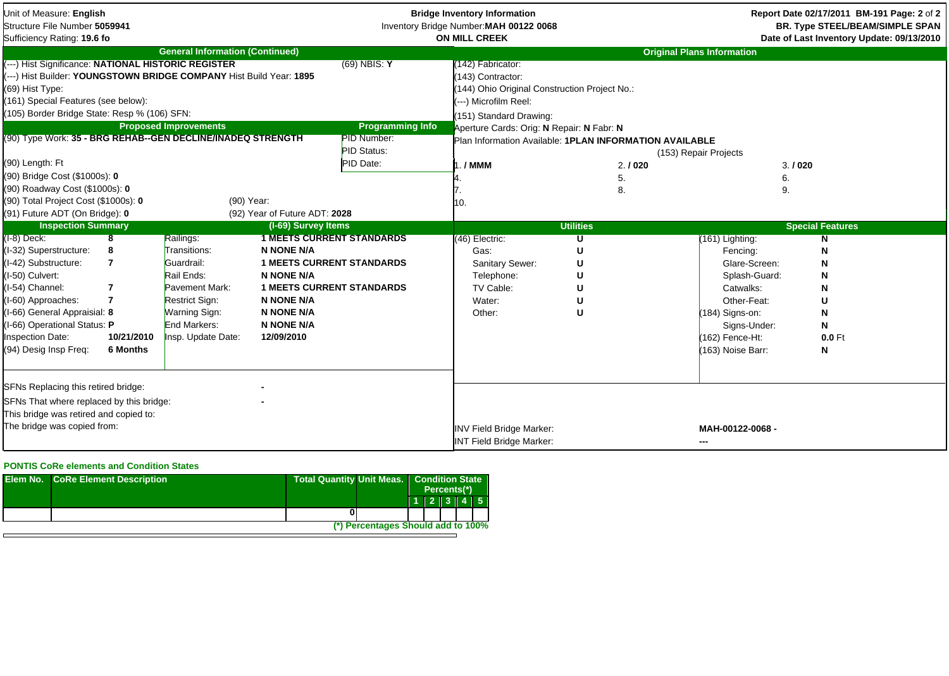| Unit of Measure: English<br>Structure File Number 5059941<br>Sufficiency Rating: 19.6 fo |                         |                                        |                                  | <b>Bridge Inventory Information</b><br>Inventory Bridge Number: MAH 00122 0068<br><b>ON MILL CREEK</b> |                                                         |                  |                                   | Report Date 02/17/2011 BM-191 Page: 2 of 2<br><b>BR. Type STEEL/BEAM/SIMPLE SPAN</b><br>Date of Last Inventory Update: 09/13/2010 |
|------------------------------------------------------------------------------------------|-------------------------|----------------------------------------|----------------------------------|--------------------------------------------------------------------------------------------------------|---------------------------------------------------------|------------------|-----------------------------------|-----------------------------------------------------------------------------------------------------------------------------------|
|                                                                                          |                         | <b>General Information (Continued)</b> |                                  |                                                                                                        |                                                         |                  | <b>Original Plans Information</b> |                                                                                                                                   |
| (---) Hist Significance: NATIONAL HISTORIC REGISTER                                      |                         |                                        |                                  | $(69)$ NBIS: Y                                                                                         | (142) Fabricator:                                       |                  |                                   |                                                                                                                                   |
| (---) Hist Builder: YOUNGSTOWN BRIDGE COMPANY Hist Build Year: 1895                      |                         |                                        |                                  |                                                                                                        | (143) Contractor:                                       |                  |                                   |                                                                                                                                   |
| (69) Hist Type:                                                                          |                         |                                        |                                  |                                                                                                        | 144) Ohio Original Construction Project No.:            |                  |                                   |                                                                                                                                   |
| (161) Special Features (see below):                                                      |                         |                                        |                                  |                                                                                                        | (---) Microfilm Reel:                                   |                  |                                   |                                                                                                                                   |
| (105) Border Bridge State: Resp % (106) SFN:                                             |                         |                                        |                                  |                                                                                                        | (151) Standard Drawing:                                 |                  |                                   |                                                                                                                                   |
|                                                                                          |                         | <b>Proposed Improvements</b>           |                                  | <b>Programming Info</b>                                                                                | Aperture Cards: Orig: N Repair: N Fabr: N               |                  |                                   |                                                                                                                                   |
| (90) Type Work: 35 - BRG REHAB--GEN DECLINE/INADEQ STRENGTH                              |                         |                                        |                                  | PID Number:                                                                                            | Plan Information Available: 1PLAN INFORMATION AVAILABLE |                  |                                   |                                                                                                                                   |
|                                                                                          |                         |                                        |                                  | <b>PID Status:</b>                                                                                     |                                                         |                  | (153) Repair Projects             |                                                                                                                                   |
| (90) Length: Ft                                                                          |                         |                                        |                                  | PID Date:                                                                                              | ./MMM                                                   | 2.1020           | 3.1020                            |                                                                                                                                   |
| (90) Bridge Cost (\$1000s): 0                                                            |                         |                                        |                                  |                                                                                                        |                                                         | 5.               | 6.                                |                                                                                                                                   |
| (90) Roadway Cost (\$1000s): 0                                                           |                         |                                        |                                  |                                                                                                        |                                                         | 8.               | 9.                                |                                                                                                                                   |
| (90) Total Project Cost (\$1000s): 0                                                     |                         |                                        | (90) Year:                       |                                                                                                        | 10.                                                     |                  |                                   |                                                                                                                                   |
| (91) Future ADT (On Bridge): 0                                                           |                         |                                        | (92) Year of Future ADT: 2028    |                                                                                                        |                                                         |                  |                                   |                                                                                                                                   |
| <b>Inspection Summary</b>                                                                |                         |                                        | (I-69) Survey Items              |                                                                                                        |                                                         | <b>Utilities</b> |                                   | <b>Special Features</b>                                                                                                           |
| (I-8) Deck:                                                                              | $\overline{\mathbf{8}}$ | Railings:                              | <b>1 MEETS CURRENT STANDARDS</b> |                                                                                                        | (46) Electric:                                          |                  | (161) Lighting:                   |                                                                                                                                   |
| (I-32) Superstructure:                                                                   | 8                       | Transitions:                           | N NONE N/A                       |                                                                                                        | Gas:                                                    | U                | Fencing:                          | N                                                                                                                                 |
| (I-42) Substructure:                                                                     | 7                       | Guardrail:                             | <b>1 MEETS CURRENT STANDARDS</b> |                                                                                                        | Sanitary Sewer:                                         |                  | Glare-Screen:                     |                                                                                                                                   |
| (I-50) Culvert:                                                                          |                         | Rail Ends:                             | <b>N NONE N/A</b>                |                                                                                                        | Telephone:                                              |                  | Splash-Guard:                     | N                                                                                                                                 |
| I-54) Channel:                                                                           | $\overline{7}$          | Pavement Mark:                         | <b>1 MEETS CURRENT STANDARDS</b> |                                                                                                        | TV Cable:                                               |                  | Catwalks:                         |                                                                                                                                   |
| (I-60) Approaches:                                                                       | $\overline{7}$          | Restrict Sign:                         | <b>N NONE N/A</b>                |                                                                                                        | Water:                                                  |                  | Other-Feat:                       |                                                                                                                                   |
| (I-66) General Appraisial: 8                                                             |                         | Warning Sign:                          | <b>N NONE N/A</b>                |                                                                                                        | Other:                                                  | U                | $(184)$ Signs-on:                 | Ν                                                                                                                                 |
| I-66) Operational Status: P                                                              |                         | End Markers:                           | <b>N NONE N/A</b>                |                                                                                                        |                                                         |                  | Signs-Under:                      | N                                                                                                                                 |
| nspection Date:                                                                          | 10/21/2010              | Insp. Update Date:                     | 12/09/2010                       |                                                                                                        |                                                         |                  | (162) Fence-Ht:                   | $0.0$ Ft                                                                                                                          |
| (94) Desig Insp Freq:                                                                    | 6 Months                |                                        |                                  |                                                                                                        |                                                         |                  | (163) Noise Barr:                 | N                                                                                                                                 |
|                                                                                          |                         |                                        |                                  |                                                                                                        |                                                         |                  |                                   |                                                                                                                                   |
|                                                                                          |                         |                                        |                                  |                                                                                                        |                                                         |                  |                                   |                                                                                                                                   |
| SFNs Replacing this retired bridge:                                                      |                         |                                        |                                  |                                                                                                        |                                                         |                  |                                   |                                                                                                                                   |
| SFNs That where replaced by this bridge:                                                 |                         |                                        |                                  |                                                                                                        |                                                         |                  |                                   |                                                                                                                                   |
| This bridge was retired and copied to:                                                   |                         |                                        |                                  |                                                                                                        |                                                         |                  |                                   |                                                                                                                                   |
| The bridge was copied from:                                                              |                         |                                        |                                  |                                                                                                        |                                                         |                  | MAH-00122-0068 -                  |                                                                                                                                   |
|                                                                                          |                         |                                        |                                  |                                                                                                        | INV Field Bridge Marker:                                |                  |                                   |                                                                                                                                   |
|                                                                                          |                         |                                        |                                  |                                                                                                        | <b>INT Field Bridge Marker:</b>                         |                  | ---                               |                                                                                                                                   |

## **PONTIS CoRe elements and Condition States**

| <b>Elem No. CoRe Element Description</b> | <b>Total Quantity Unit Meas.</b><br><b>Condition State</b><br>Percents <sup>(*)</sup> |  |  |  |
|------------------------------------------|---------------------------------------------------------------------------------------|--|--|--|
|                                          | $1$   2   3   4   5                                                                   |  |  |  |
|                                          |                                                                                       |  |  |  |
|                                          | (*) Percentages Should add to 100%                                                    |  |  |  |
|                                          |                                                                                       |  |  |  |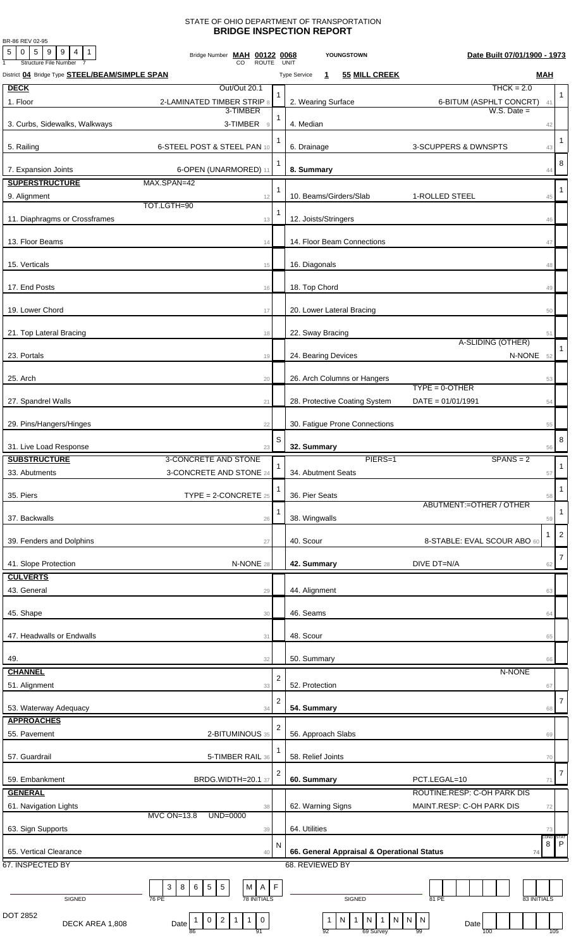## STATE OF OHIO DEPARTMENT OF TRANSPORTATION **BRIDGE INSPECTION REPORT**

BR-86 REV 02-95

| $5 \mid 0 \mid 5 \mid 9 \mid 9 \mid 4 \mid 1$<br><b>Structure File Number</b> | Bridge Number MAH 00122 0068<br><b>ROUTE</b>                                                   |                | Date Built 07/01/1900 - 1973<br>YOUNGSTOWN<br>UNIT                                                        |                    |
|-------------------------------------------------------------------------------|------------------------------------------------------------------------------------------------|----------------|-----------------------------------------------------------------------------------------------------------|--------------------|
| District 04 Bridge Type STEEL/BEAM/SIMPLE SPAN                                |                                                                                                |                | 55 MILL CREEK<br>MAH<br><b>Type Service</b><br>$\mathbf{1}$                                               |                    |
| <b>DECK</b>                                                                   | Out/Out 20.1                                                                                   |                | $THCK = 2.0$                                                                                              |                    |
| 1. Floor                                                                      | 2-LAMINATED TIMBER STRIP 8                                                                     |                | 2. Wearing Surface<br>6-BITUM (ASPHLT CONCRT) 41                                                          | 1                  |
| 3. Curbs, Sidewalks, Walkways                                                 | 3-TIMBER<br>3-TIMBER 9                                                                         |                | $W.S.$ Date $=$<br>4. Median<br>42                                                                        |                    |
|                                                                               |                                                                                                |                |                                                                                                           | $\mathbf{1}$       |
| 5. Railing                                                                    | 6-STEEL POST & STEEL PAN 10                                                                    |                | 6. Drainage<br>3-SCUPPERS & DWNSPTS                                                                       | 43                 |
| 7. Expansion Joints                                                           | 6-OPEN (UNARMORED) 11                                                                          | 1              | 8. Summary                                                                                                | 8<br>44            |
| <b>SUPERSTRUCTURE</b>                                                         | MAX.SPAN=42                                                                                    |                |                                                                                                           |                    |
| 9. Alignment                                                                  | 12                                                                                             | 1              | 10. Beams/Girders/Slab<br>1-ROLLED STEEL                                                                  | $\mathbf{1}$<br>45 |
| 11. Diaphragms or Crossframes                                                 | TOT.LGTH=90<br>13                                                                              |                | 12. Joists/Stringers<br>46                                                                                |                    |
|                                                                               |                                                                                                |                |                                                                                                           |                    |
| 13. Floor Beams                                                               | 14                                                                                             |                | 14. Floor Beam Connections<br>47                                                                          |                    |
| 15. Verticals                                                                 | 15                                                                                             |                | 16. Diagonals<br>48                                                                                       |                    |
|                                                                               |                                                                                                |                |                                                                                                           |                    |
| 17. End Posts                                                                 | 16                                                                                             |                | 18. Top Chord<br>49                                                                                       |                    |
| 19. Lower Chord                                                               | 17                                                                                             |                | 20. Lower Lateral Bracing<br>50                                                                           |                    |
|                                                                               |                                                                                                |                |                                                                                                           |                    |
| 21. Top Lateral Bracing                                                       | 18                                                                                             |                | 22. Sway Bracing<br>51<br>A-SLIDING (OTHER)                                                               |                    |
| 23. Portals                                                                   | 19                                                                                             |                | N-NONE 52<br>24. Bearing Devices                                                                          |                    |
| 25. Arch                                                                      | 20                                                                                             |                | 26. Arch Columns or Hangers<br>53                                                                         |                    |
|                                                                               |                                                                                                |                | $TYPE = 0 - OTHER$                                                                                        |                    |
| 27. Spandrel Walls                                                            | 21                                                                                             |                | 28. Protective Coating System<br>$DATA = 01/01/1991$<br>54                                                |                    |
| 29. Pins/Hangers/Hinges                                                       | 22                                                                                             |                | 30. Fatigue Prone Connections<br>55                                                                       |                    |
|                                                                               |                                                                                                | S              |                                                                                                           | 8                  |
| 31. Live Load Response                                                        | 23                                                                                             |                | 32. Summary                                                                                               | 56                 |
| <b>SUBSTRUCTURE</b>                                                           | 3-CONCRETE AND STONE                                                                           | 1              | PIERS=1<br>$SPANS = 2$                                                                                    | $\mathbf{1}$       |
| 33. Abutments                                                                 | 3-CONCRETE AND STONE 24                                                                        |                | 34. Abutment Seats<br>57                                                                                  |                    |
| 35. Piers                                                                     | $\text{TYPE} = 2\text{-CONCRETE } 25$                                                          |                | 36. Pier Seats                                                                                            | $\mathbf{1}$<br>58 |
| 37. Backwalls                                                                 |                                                                                                | 1              | ABUTMENT:=OTHER / OTHER                                                                                   | $\mathbf 1$        |
|                                                                               | 26                                                                                             |                | 38. Wingwalls<br>59                                                                                       |                    |
| 39. Fenders and Dolphins                                                      | 27                                                                                             |                | 1<br>40. Scour<br>8-STABLE: EVAL SCOUR ABO 60                                                             | $\overline{c}$     |
| 41. Slope Protection                                                          | N-NONE 28                                                                                      |                | DIVE DT=N/A<br>42. Summary<br>62                                                                          | $\overline{7}$     |
| <b>CULVERTS</b>                                                               |                                                                                                |                |                                                                                                           |                    |
| 43. General                                                                   | 29                                                                                             |                | 44. Alignment<br>63                                                                                       |                    |
|                                                                               |                                                                                                |                |                                                                                                           |                    |
| 45. Shape                                                                     | 30                                                                                             |                | 46. Seams<br>64                                                                                           |                    |
| 47. Headwalls or Endwalls                                                     | 31                                                                                             |                | 48. Scour<br>65                                                                                           |                    |
| 49.                                                                           | 32                                                                                             |                | 50. Summary<br>66                                                                                         |                    |
| <b>CHANNEL</b>                                                                |                                                                                                |                | N-NONE                                                                                                    |                    |
| 51. Alignment                                                                 | 33                                                                                             | $\overline{2}$ | 52. Protection<br>67                                                                                      |                    |
| 53. Waterway Adequacy                                                         | 34                                                                                             | 2              | 54. Summary<br>68                                                                                         | $\overline{7}$     |
| <b>APPROACHES</b>                                                             |                                                                                                |                |                                                                                                           |                    |
| 55. Pavement                                                                  | 2-BITUMINOUS 35                                                                                | 2              | 56. Approach Slabs<br>69                                                                                  |                    |
|                                                                               |                                                                                                |                |                                                                                                           |                    |
| 57. Guardrail                                                                 | 5-TIMBER RAIL 36                                                                               |                | 58. Relief Joints<br>70                                                                                   |                    |
| 59. Embankment                                                                | BRDG.WIDTH=20.1 37                                                                             | 2              | PCT.LEGAL=10<br>60. Summary<br>71                                                                         | $\overline{7}$     |
| <b>GENERAL</b>                                                                |                                                                                                |                | ROUTINE.RESP: C-OH PARK DIS                                                                               |                    |
| 61. Navigation Lights                                                         | 38<br>MVC ON=13.8<br>UND=0000                                                                  |                | 62. Warning Signs<br>MAINT.RESP: C-OH PARK DIS<br>72                                                      |                    |
| 63. Sign Supports                                                             | 39                                                                                             |                | 64. Utilities<br>73                                                                                       |                    |
| 65. Vertical Clearance                                                        |                                                                                                | N              | CONE:<br>8                                                                                                | $\mathsf{P}$       |
| 67. INSPECTED BY                                                              | 40                                                                                             |                | 66. General Appraisal & Operational Status<br>74<br>68. REVIEWED BY                                       |                    |
|                                                                               |                                                                                                |                |                                                                                                           |                    |
|                                                                               | $\sqrt{5}$<br>A F<br>$\sqrt{5}$<br>M<br>3 <sup>1</sup><br>8<br>6                               |                |                                                                                                           |                    |
| SIGNED                                                                        | <b>78 INITIALS</b><br>76 PE                                                                    |                | SIGNED<br>81 PE<br>83 INITIALS                                                                            |                    |
| DOT 2852<br>DECK AREA 1,808                                                   | $\mathbf 0$<br>$\overline{2}$<br>$\mathbf{1}$<br>$\overline{0}$<br>$\overline{1}$<br>1<br>Date |                | ${\sf N}$<br>${\sf N}$<br>$\vert$ 1<br>N<br>N<br>$\overline{N}$<br>$\overline{1}$<br>$\mathbf{1}$<br>Date |                    |
|                                                                               | 91                                                                                             |                | 69 Survey<br>92<br>99<br>100                                                                              | 105                |

ī

Ц